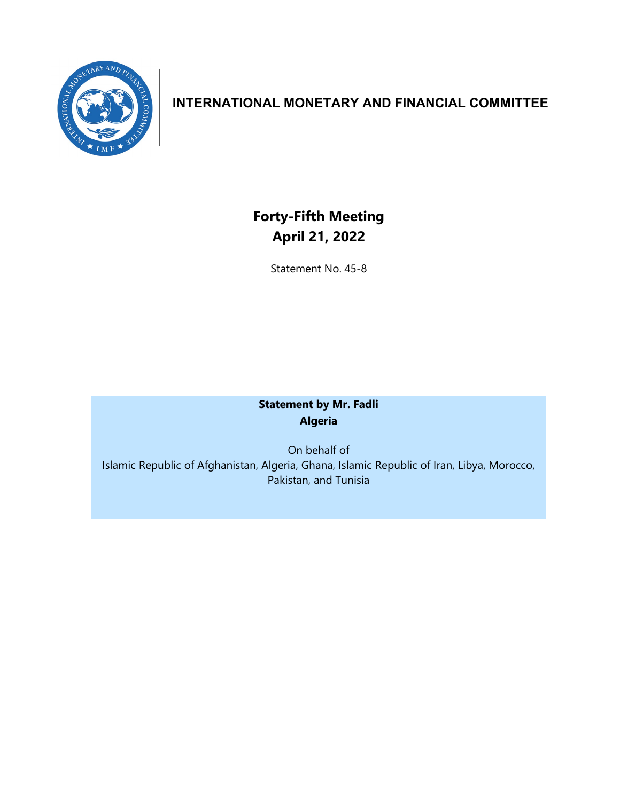

## **INTERNATIONAL MONETARY AND FINANCIAL COMMITTEE**

## **Forty-Fifth Meeting April 21, 2022**

Statement No. 45-8

## **Statement by Mr. Fadli Algeria**

On behalf of Islamic Republic of Afghanistan, Algeria, Ghana, Islamic Republic of Iran, Libya, Morocco, Pakistan, and Tunisia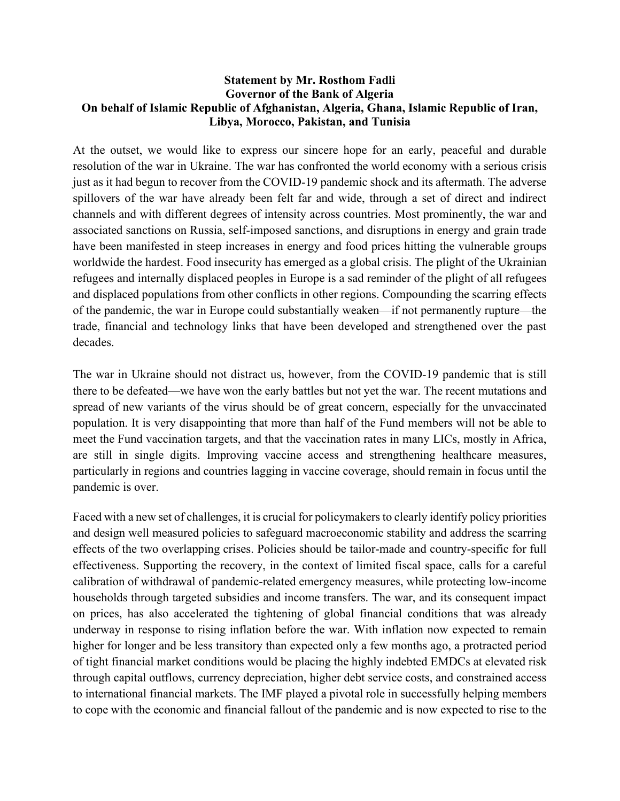## **Statement by Mr. Rosthom Fadli Governor of the Bank of Algeria On behalf of Islamic Republic of Afghanistan, Algeria, Ghana, Islamic Republic of Iran, Libya, Morocco, Pakistan, and Tunisia**

At the outset, we would like to express our sincere hope for an early, peaceful and durable resolution of the war in Ukraine. The war has confronted the world economy with a serious crisis just as it had begun to recover from the COVID-19 pandemic shock and its aftermath. The adverse spillovers of the war have already been felt far and wide, through a set of direct and indirect channels and with different degrees of intensity across countries. Most prominently, the war and associated sanctions on Russia, self-imposed sanctions, and disruptions in energy and grain trade have been manifested in steep increases in energy and food prices hitting the vulnerable groups worldwide the hardest. Food insecurity has emerged as a global crisis. The plight of the Ukrainian refugees and internally displaced peoples in Europe is a sad reminder of the plight of all refugees and displaced populations from other conflicts in other regions. Compounding the scarring effects of the pandemic, the war in Europe could substantially weaken—if not permanently rupture—the trade, financial and technology links that have been developed and strengthened over the past decades.

The war in Ukraine should not distract us, however, from the COVID-19 pandemic that is still there to be defeated—we have won the early battles but not yet the war. The recent mutations and spread of new variants of the virus should be of great concern, especially for the unvaccinated population. It is very disappointing that more than half of the Fund members will not be able to meet the Fund vaccination targets, and that the vaccination rates in many LICs, mostly in Africa, are still in single digits. Improving vaccine access and strengthening healthcare measures, particularly in regions and countries lagging in vaccine coverage, should remain in focus until the pandemic is over.

Faced with a new set of challenges, it is crucial for policymakers to clearly identify policy priorities and design well measured policies to safeguard macroeconomic stability and address the scarring effects of the two overlapping crises. Policies should be tailor-made and country-specific for full effectiveness. Supporting the recovery, in the context of limited fiscal space, calls for a careful calibration of withdrawal of pandemic-related emergency measures, while protecting low-income households through targeted subsidies and income transfers. The war, and its consequent impact on prices, has also accelerated the tightening of global financial conditions that was already underway in response to rising inflation before the war. With inflation now expected to remain higher for longer and be less transitory than expected only a few months ago, a protracted period of tight financial market conditions would be placing the highly indebted EMDCs at elevated risk through capital outflows, currency depreciation, higher debt service costs, and constrained access to international financial markets. The IMF played a pivotal role in successfully helping members to cope with the economic and financial fallout of the pandemic and is now expected to rise to the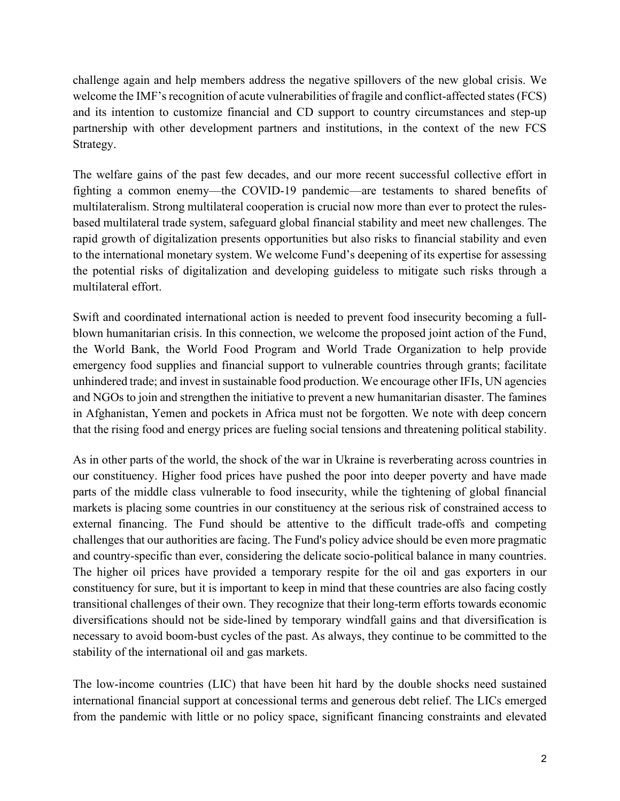challenge again and help members address the negative spillovers of the new global crisis. We welcome the IMF's recognition of acute vulnerabilities of fragile and conflict-affected states (FCS) and its intention to customize financial and CD support to country circumstances and step-up partnership with other development partners and institutions, in the context of the new FCS Strategy.

The welfare gains of the past few decades, and our more recent successful collective effort in fighting a common enemy—the COVID-19 pandemic—are testaments to shared benefits of multilateralism. Strong multilateral cooperation is crucial now more than ever to protect the rulesbased multilateral trade system, safeguard global financial stability and meet new challenges. The rapid growth of digitalization presents opportunities but also risks to financial stability and even to the international monetary system. We welcome Fund's deepening of its expertise for assessing the potential risks of digitalization and developing guideless to mitigate such risks through a multilateral effort.

Swift and coordinated international action is needed to prevent food insecurity becoming a fullblown humanitarian crisis. In this connection, we welcome the proposed joint action of the Fund, the World Bank, the World Food Program and World Trade Organization to help provide emergency food supplies and financial support to vulnerable countries through grants; facilitate unhindered trade; and invest in sustainable food production. We encourage other IFIs, UN agencies and NGOs to join and strengthen the initiative to prevent a new humanitarian disaster. The famines in Afghanistan, Yemen and pockets in Africa must not be forgotten. We note with deep concern that the rising food and energy prices are fueling social tensions and threatening political stability.

As in other parts of the world, the shock of the war in Ukraine is reverberating across countries in our constituency. Higher food prices have pushed the poor into deeper poverty and have made parts of the middle class vulnerable to food insecurity, while the tightening of global financial markets is placing some countries in our constituency at the serious risk of constrained access to external financing. The Fund should be attentive to the difficult trade-offs and competing challenges that our authorities are facing. The Fund's policy advice should be even more pragmatic and country-specific than ever, considering the delicate socio-political balance in many countries. The higher oil prices have provided a temporary respite for the oil and gas exporters in our constituency for sure, but it is important to keep in mind that these countries are also facing costly transitional challenges of their own. They recognize that their long-term efforts towards economic diversifications should not be side-lined by temporary windfall gains and that diversification is necessary to avoid boom-bust cycles of the past. As always, they continue to be committed to the stability of the international oil and gas markets.

The low-income countries (LIC) that have been hit hard by the double shocks need sustained international financial support at concessional terms and generous debt relief. The LICs emerged from the pandemic with little or no policy space, significant financing constraints and elevated